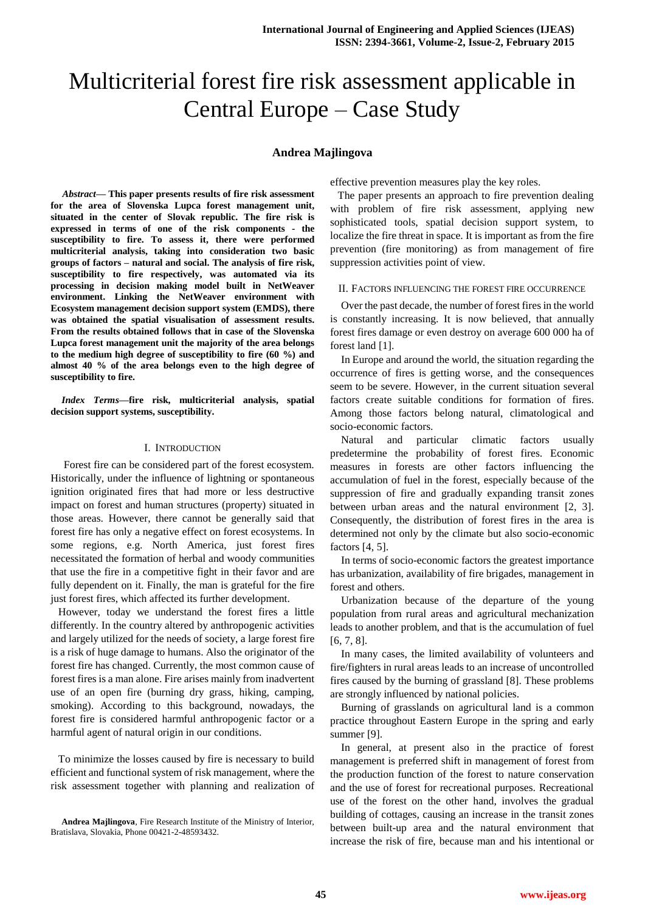# Multicriterial forest fire risk assessment applicable in Central Europe – Case Study

## **Andrea Majlingova**

*Abstract***— This paper presents results of fire risk assessment for the area of Slovenska Lupca forest management unit, situated in the center of Slovak republic. The fire risk is expressed in terms of one of the risk components - the susceptibility to fire. To assess it, there were performed multicriterial analysis, taking into consideration two basic groups of factors – natural and social. The analysis of fire risk, susceptibility to fire respectively, was automated via its processing in decision making model built in NetWeaver environment. Linking the NetWeaver environment with Ecosystem management decision support system (EMDS), there was obtained the spatial visualisation of assessment results. From the results obtained follows that in case of the Slovenska Lupca forest management unit the majority of the area belongs to the medium high degree of susceptibility to fire (60 %) and almost 40 % of the area belongs even to the high degree of susceptibility to fire.**

*Index Terms***—fire risk, multicriterial analysis, spatial decision support systems, susceptibility.** 

## I. INTRODUCTION

 Forest fire can be considered part of the forest ecosystem. Historically, under the influence of lightning or spontaneous ignition originated fires that had more or less destructive impact on forest and human structures (property) situated in those areas. However, there cannot be generally said that forest fire has only a negative effect on forest ecosystems. In some regions, e.g. North America, just forest fires necessitated the formation of herbal and woody communities that use the fire in a competitive fight in their favor and are fully dependent on it. Finally, the man is grateful for the fire just forest fires, which affected its further development.

However, today we understand the forest fires a little differently. In the country altered by anthropogenic activities and largely utilized for the needs of society, a large forest fire is a risk of huge damage to humans. Also the originator of the forest fire has changed. Currently, the most common cause of forest fires is a man alone. Fire arises mainly from inadvertent use of an open fire (burning dry grass, hiking, camping, smoking). According to this background, nowadays, the forest fire is considered harmful anthropogenic factor or a harmful agent of natural origin in our conditions.

To minimize the losses caused by fire is necessary to build efficient and functional system of risk management, where the risk assessment together with planning and realization of effective prevention measures play the key roles.

The paper presents an approach to fire prevention dealing with problem of fire risk assessment, applying new sophisticated tools, spatial decision support system, to localize the fire threat in space. It is important as from the fire prevention (fire monitoring) as from management of fire suppression activities point of view.

#### II. FACTORS INFLUENCING THE FOREST FIRE OCCURRENCE

Over the past decade, the number of forest fires in the world is constantly increasing. It is now believed, that annually forest fires damage or even destroy on average 600 000 ha of forest land [1].

In Europe and around the world, the situation regarding the occurrence of fires is getting worse, and the consequences seem to be severe. However, in the current situation several factors create suitable conditions for formation of fires. Among those factors belong natural, climatological and socio-economic factors.

Natural and particular climatic factors usually predetermine the probability of forest fires. Economic measures in forests are other factors influencing the accumulation of fuel in the forest, especially because of the suppression of fire and gradually expanding transit zones between urban areas and the natural environment [2, 3]. Consequently, the distribution of forest fires in the area is determined not only by the climate but also socio-economic factors [4, 5].

In terms of socio-economic factors the greatest importance has urbanization, availability of fire brigades, management in forest and others.

Urbanization because of the departure of the young population from rural areas and agricultural mechanization leads to another problem, and that is the accumulation of fuel [6, 7, 8].

In many cases, the limited availability of volunteers and fire/fighters in rural areas leads to an increase of uncontrolled fires caused by the burning of grassland [8]. These problems are strongly influenced by national policies.

Burning of grasslands on agricultural land is a common practice throughout Eastern Europe in the spring and early summer [9].

In general, at present also in the practice of forest management is preferred shift in management of forest from the production function of the forest to nature conservation and the use of forest for recreational purposes. Recreational use of the forest on the other hand, involves the gradual building of cottages, causing an increase in the transit zones between built-up area and the natural environment that increase the risk of fire, because man and his intentional or

**Andrea Majlingova**, Fire Research Institute of the Ministry of Interior, Bratislava, Slovakia, Phone 00421-2-48593432.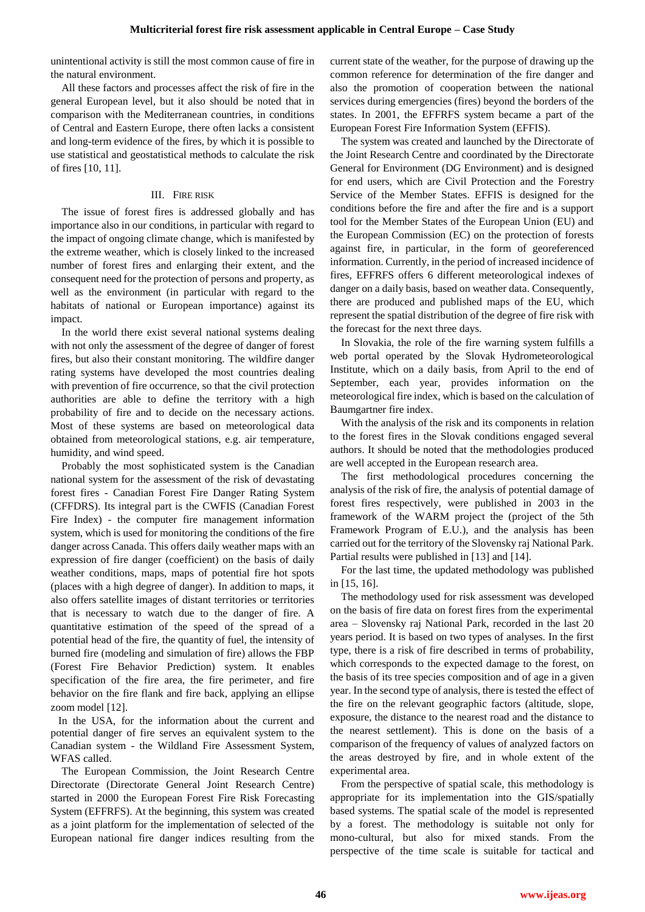unintentional activity is still the most common cause of fire in the natural environment.

All these factors and processes affect the risk of fire in the general European level, but it also should be noted that in comparison with the Mediterranean countries, in conditions of Central and Eastern Europe, there often lacks a consistent and long-term evidence of the fires, by which it is possible to use statistical and geostatistical methods to calculate the risk of fires [10, 11].

## III. FIRE RISK

The issue of forest fires is addressed globally and has importance also in our conditions, in particular with regard to the impact of ongoing climate change, which is manifested by the extreme weather, which is closely linked to the increased number of forest fires and enlarging their extent, and the consequent need for the protection of persons and property, as well as the environment (in particular with regard to the habitats of national or European importance) against its impact.

In the world there exist several national systems dealing with not only the assessment of the degree of danger of forest fires, but also their constant monitoring. The wildfire danger rating systems have developed the most countries dealing with prevention of fire occurrence, so that the civil protection authorities are able to define the territory with a high probability of fire and to decide on the necessary actions. Most of these systems are based on meteorological data obtained from meteorological stations, e.g. air temperature, humidity, and wind speed.

Probably the most sophisticated system is the Canadian national system for the assessment of the risk of devastating forest fires - Canadian Forest Fire Danger Rating System (CFFDRS). Its integral part is the CWFIS (Canadian Forest Fire Index) - the computer fire management information system, which is used for monitoring the conditions of the fire danger across Canada. This offers daily weather maps with an expression of fire danger (coefficient) on the basis of daily weather conditions, maps, maps of potential fire hot spots (places with a high degree of danger). In addition to maps, it also offers satellite images of distant territories or territories that is necessary to watch due to the danger of fire. A quantitative estimation of the speed of the spread of a potential head of the fire, the quantity of fuel, the intensity of burned fire (modeling and simulation of fire) allows the FBP (Forest Fire Behavior Prediction) system. It enables specification of the fire area, the fire perimeter, and fire behavior on the fire flank and fire back, applying an ellipse zoom model [12].

In the USA, for the information about the current and potential danger of fire serves an equivalent system to the Canadian system - the Wildland Fire Assessment System, WFAS called.

The European Commission, the Joint Research Centre Directorate (Directorate General Joint Research Centre) started in 2000 the European Forest Fire Risk Forecasting System (EFFRFS). At the beginning, this system was created as a joint platform for the implementation of selected of the European national fire danger indices resulting from the current state of the weather, for the purpose of drawing up the common reference for determination of the fire danger and also the promotion of cooperation between the national services during emergencies (fires) beyond the borders of the states. In 2001, the EFFRFS system became a part of the European Forest Fire Information System (EFFIS).

The system was created and launched by the Directorate of the Joint Research Centre and coordinated by the Directorate General for Environment (DG Environment) and is designed for end users, which are Civil Protection and the Forestry Service of the Member States. EFFIS is designed for the conditions before the fire and after the fire and is a support tool for the Member States of the European Union (EU) and the European Commission (EC) on the protection of forests against fire, in particular, in the form of georeferenced information. Currently, in the period of increased incidence of fires, EFFRFS offers 6 different meteorological indexes of danger on a daily basis, based on weather data. Consequently, there are produced and published maps of the EU, which represent the spatial distribution of the degree of fire risk with the forecast for the next three days.

In Slovakia, the role of the fire warning system fulfills a web portal operated by the Slovak Hydrometeorological Institute, which on a daily basis, from April to the end of September, each year, provides information on the meteorological fire index, which is based on the calculation of Baumgartner fire index.

With the analysis of the risk and its components in relation to the forest fires in the Slovak conditions engaged several authors. It should be noted that the methodologies produced are well accepted in the European research area.

The first methodological procedures concerning the analysis of the risk of fire, the analysis of potential damage of forest fires respectively, were published in 2003 in the framework of the WARM project the (project of the 5th Framework Program of E.U.), and the analysis has been carried out for the territory of the Slovensky raj National Park. Partial results were published in [13] and [14].

For the last time, the updated methodology was published in [15, 16].

The methodology used for risk assessment was developed on the basis of fire data on forest fires from the experimental area – Slovensky raj National Park, recorded in the last 20 years period. It is based on two types of analyses. In the first type, there is a risk of fire described in terms of probability, which corresponds to the expected damage to the forest, on the basis of its tree species composition and of age in a given year. In the second type of analysis, there is tested the effect of the fire on the relevant geographic factors (altitude, slope, exposure, the distance to the nearest road and the distance to the nearest settlement). This is done on the basis of a comparison of the frequency of values of analyzed factors on the areas destroyed by fire, and in whole extent of the experimental area.

From the perspective of spatial scale, this methodology is appropriate for its implementation into the GIS/spatially based systems. The spatial scale of the model is represented by a forest. The methodology is suitable not only for mono-cultural, but also for mixed stands. From the perspective of the time scale is suitable for tactical and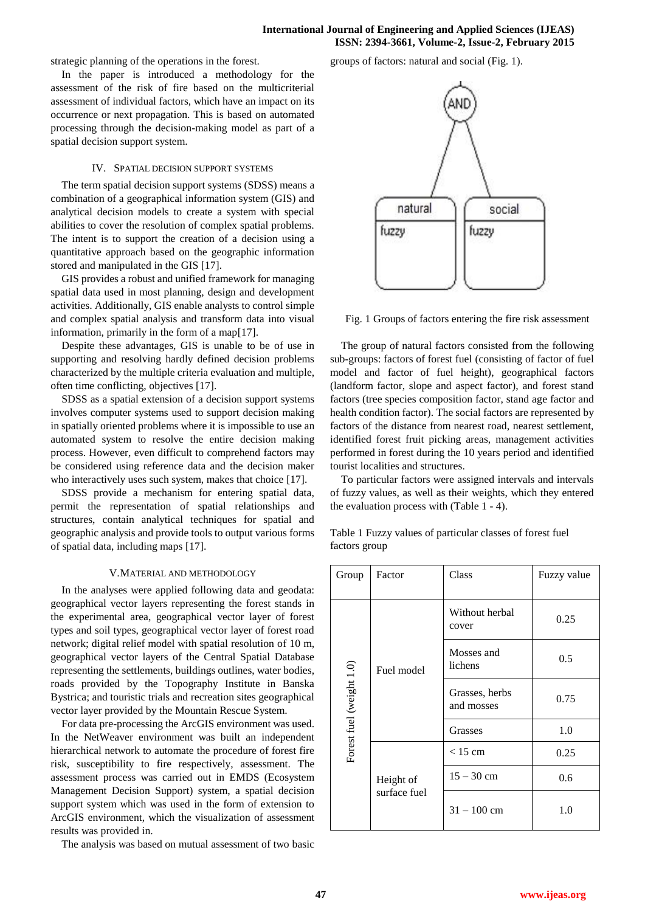strategic planning of the operations in the forest.

In the paper is introduced a methodology for the assessment of the risk of fire based on the multicriterial assessment of individual factors, which have an impact on its occurrence or next propagation. This is based on automated processing through the decision-making model as part of a spatial decision support system.

### IV. SPATIAL DECISION SUPPORT SYSTEMS

The term spatial decision support systems (SDSS) means a combination of a geographical information system (GIS) and analytical decision models to create a system with special abilities to cover the resolution of complex spatial problems. The intent is to support the creation of a decision using a quantitative approach based on the geographic information stored and manipulated in the GIS [17].

GIS provides a robust and unified framework for managing spatial data used in most planning, design and development activities. Additionally, GIS enable analysts to control simple and complex spatial analysis and transform data into visual information, primarily in the form of a map[17].

Despite these advantages, GIS is unable to be of use in supporting and resolving hardly defined decision problems characterized by the multiple criteria evaluation and multiple, often time conflicting, objectives [17].

SDSS as a spatial extension of a decision support systems involves computer systems used to support decision making in spatially oriented problems where it is impossible to use an automated system to resolve the entire decision making process. However, even difficult to comprehend factors may be considered using reference data and the decision maker who interactively uses such system, makes that choice [17].

SDSS provide a mechanism for entering spatial data, permit the representation of spatial relationships and structures, contain analytical techniques for spatial and geographic analysis and provide tools to output various forms of spatial data, including maps [17].

#### V.MATERIAL AND METHODOLOGY

In the analyses were applied following data and geodata: geographical vector layers representing the forest stands in the experimental area, geographical vector layer of forest types and soil types, geographical vector layer of forest road network; digital relief model with spatial resolution of 10 m, geographical vector layers of the Central Spatial Database representing the settlements, buildings outlines, water bodies, roads provided by the Topography Institute in Banska Bystrica; and touristic trials and recreation sites geographical vector layer provided by the Mountain Rescue System.

For data pre-processing the ArcGIS environment was used. In the NetWeaver environment was built an independent hierarchical network to automate the procedure of forest fire risk, susceptibility to fire respectively, assessment. The assessment process was carried out in EMDS (Ecosystem Management Decision Support) system, a spatial decision support system which was used in the form of extension to ArcGIS environment, which the visualization of assessment results was provided in.

The analysis was based on mutual assessment of two basic

groups of factors: natural and social (Fig. 1).



Fig. 1 Groups of factors entering the fire risk assessment

The group of natural factors consisted from the following sub-groups: factors of forest fuel (consisting of factor of fuel model and factor of fuel height), geographical factors (landform factor, slope and aspect factor), and forest stand factors (tree species composition factor, stand age factor and health condition factor). The social factors are represented by factors of the distance from nearest road, nearest settlement, identified forest fruit picking areas, management activities performed in forest during the 10 years period and identified tourist localities and structures.

To particular factors were assigned intervals and intervals of fuzzy values, as well as their weights, which they entered the evaluation process with (Table 1 - 4).

Table 1 Fuzzy values of particular classes of forest fuel factors group

| Group                    | Factor                    | Class                        | Fuzzy value |
|--------------------------|---------------------------|------------------------------|-------------|
| Forest fuel (weight 1.0) |                           | Without herbal<br>cover      | 0.25        |
|                          | Fuel model                | Mosses and<br>lichens        | 0.5         |
|                          |                           | Grasses, herbs<br>and mosses | 0.75        |
|                          |                           | Grasses                      | 1.0         |
|                          | Height of<br>surface fuel | $< 15$ cm                    | 0.25        |
|                          |                           | $15 - 30$ cm                 | 0.6         |
|                          |                           | $31 - 100$ cm                | 1.0         |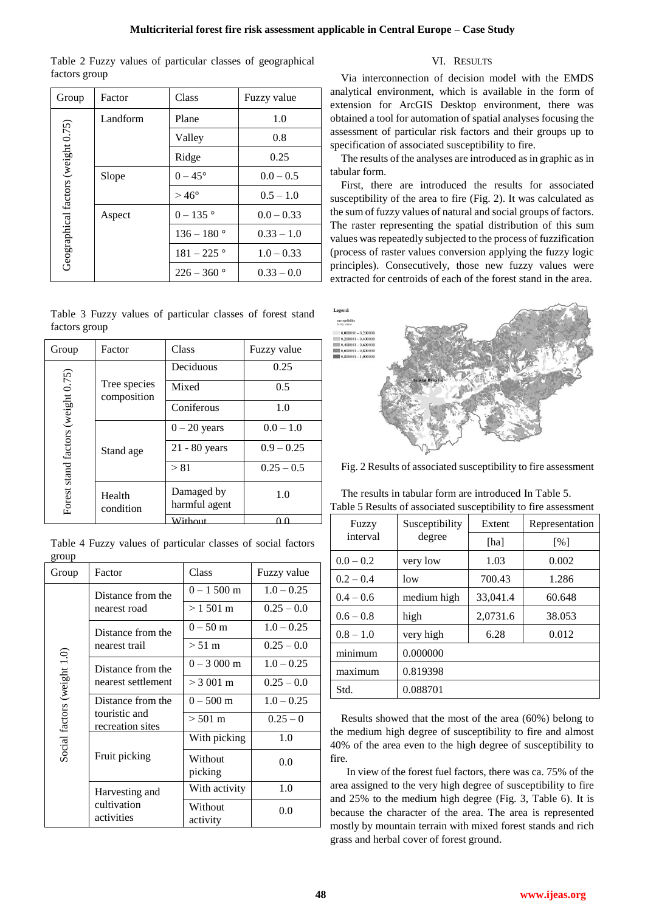| Table 2 Fuzzy values of particular classes of geographical |  |  |  |
|------------------------------------------------------------|--|--|--|
| factors group                                              |  |  |  |

| Group                              | Factor   | Class            | Fuzzy value  |
|------------------------------------|----------|------------------|--------------|
|                                    | Landform | Plane            | 1.0          |
| Geographical factors (weight 0.75) |          | Valley           | 0.8          |
|                                    |          | Ridge            | 0.25         |
|                                    | Slope    | $0 - 45^{\circ}$ | $0.0 - 0.5$  |
|                                    |          | $>46^\circ$      | $0.5 - 1.0$  |
|                                    | Aspect   | $0 - 135$ °      | $0.0 - 0.33$ |
|                                    |          | $136 - 180$ °    | $0.33 - 1.0$ |
|                                    |          | $181 - 225$ °    | $1.0 - 0.33$ |
|                                    |          | $226 - 360$      | $0.33 - 0.0$ |

|               |  | Table 3 Fuzzy values of particular classes of forest stand |  |  |
|---------------|--|------------------------------------------------------------|--|--|
| factors group |  |                                                            |  |  |

| Group                              | Factor                      | Class                       | Fuzzy value  |
|------------------------------------|-----------------------------|-----------------------------|--------------|
|                                    |                             | Deciduous                   | 0.25         |
|                                    | Tree species<br>composition | Mixed                       | 0.5          |
| Forest stand factors (weight 0.75) |                             | Coniferous                  | 1.0          |
|                                    | Stand age                   | $0 - 20$ years              | $0.0 - 1.0$  |
|                                    |                             | $21 - 80$ years             | $0.9 - 0.25$ |
|                                    |                             | > 81                        | $0.25 - 0.5$ |
|                                    | Health<br>condition         | Damaged by<br>harmful agent | 1.0          |
|                                    |                             | Without                     | ስ ስ          |

| Table 4 Fuzzy values of particular classes of social factors |  |  |
|--------------------------------------------------------------|--|--|
| group                                                        |  |  |

| Group                       | Factor                            | Class               | Fuzzy value  |
|-----------------------------|-----------------------------------|---------------------|--------------|
|                             | Distance from the                 | $0 - 1500$ m        | $1.0 - 0.25$ |
|                             | nearest road                      | $>1501 \text{ m}$   | $0.25 - 0.0$ |
|                             | Distance from the                 | $0 - 50$ m          | $1.0 - 0.25$ |
|                             | nearest trail                     | $> 51 \text{ m}$    | $0.25 - 0.0$ |
|                             | Distance from the                 | $0 - 3000$ m        | $1.0 - 0.25$ |
| Social factors (weight 1.0) | nearest settlement                | $> 3001 \text{ m}$  | $0.25 - 0.0$ |
|                             | Distance from the                 | $0 - 500$ m         | $1.0 - 0.25$ |
|                             | touristic and<br>recreation sites | $> 501 \text{ m}$   | $0.25 - 0$   |
|                             |                                   | With picking        | 1.0          |
|                             | Fruit picking                     | Without<br>picking  | 0.0          |
|                             | Harvesting and                    | With activity       | 1.0          |
|                             | cultivation<br>activities         | Without<br>activity | 0.0          |

## VI. RESULTS

Via interconnection of decision model with the EMDS analytical environment, which is available in the form of extension for ArcGIS Desktop environment, there was obtained a tool for automation of spatial analyses focusing the assessment of particular risk factors and their groups up to specification of associated susceptibility to fire.

The results of the analyses are introduced as in graphic as in tabular form.

First, there are introduced the results for associated susceptibility of the area to fire (Fig. 2). It was calculated as the sum of fuzzy values of natural and social groups of factors. The raster representing the spatial distribution of this sum values was repeatedly subjected to the process of fuzzification (process of raster values conversion applying the fuzzy logic principles). Consecutively, those new fuzzy values were extracted for centroids of each of the forest stand in the area.



Fig. 2 Results of associated susceptibility to fire assessment

The results in tabular form are introduced In Table 5. Table 5 Results of associated susceptibility to fire assessment

| Fuzzy       | Susceptibility | Extent   | Representation |
|-------------|----------------|----------|----------------|
| interval    | degree         | [ha]     | [%]            |
| $0.0 - 0.2$ | very low       | 1.03     | 0.002          |
| $0.2 - 0.4$ | low            | 700.43   | 1.286          |
| $0.4 - 0.6$ | medium high    | 33,041.4 | 60.648         |
| $0.6 - 0.8$ | high           | 2,0731.6 | 38.053         |
| $0.8 - 1.0$ | very high      | 6.28     | 0.012          |
| minimum     | 0.000000       |          |                |
| maximum     | 0.819398       |          |                |
| Std.        | 0.088701       |          |                |

Results showed that the most of the area (60%) belong to the medium high degree of susceptibility to fire and almost 40% of the area even to the high degree of susceptibility to fire.

 In view of the forest fuel factors, there was ca. 75% of the area assigned to the very high degree of susceptibility to fire and 25% to the medium high degree (Fig. 3, Table 6). It is because the character of the area. The area is represented mostly by mountain terrain with mixed forest stands and rich grass and herbal cover of forest ground.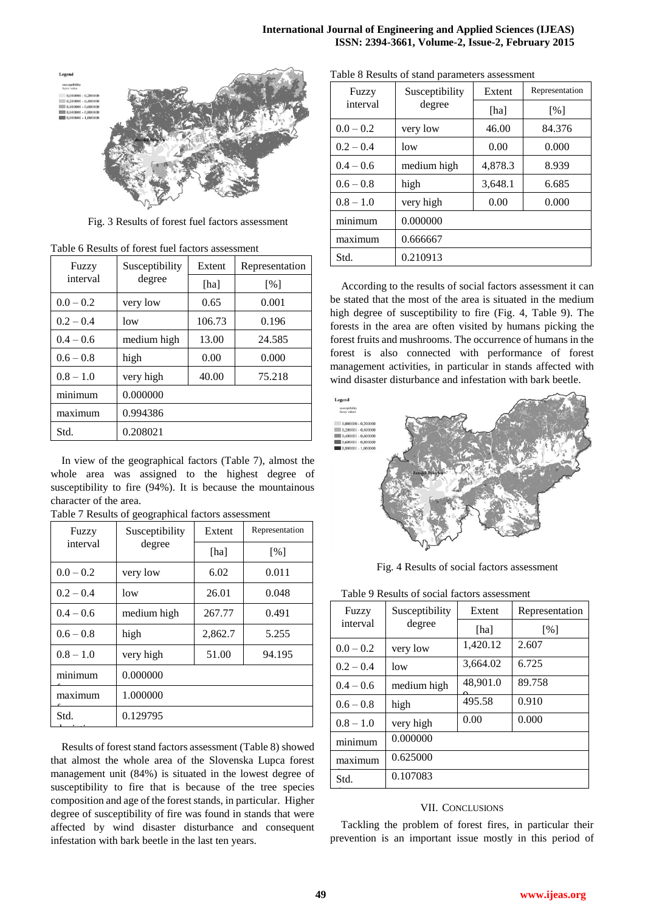deviation in the control of the control of the control of the control of the control of the control of the con

Table 8 Results of stand parameters assessment



Fig. 3 Results of forest fuel factors assessment

| Fuzzy       | Susceptibility | Extent | Representation    |
|-------------|----------------|--------|-------------------|
| interval    | degree         | [ha]   | $\lceil\% \rceil$ |
| $0.0 - 0.2$ | very low       | 0.65   | 0.001             |
| $0.2 - 0.4$ | low            | 106.73 | 0.196             |
| $0.4 - 0.6$ | medium high    | 13.00  | 24.585            |
| $0.6 - 0.8$ | high           | 0.00   | 0.000             |
| $0.8 - 1.0$ | very high      | 40.00  | 75.218            |
| minimum     | 0.000000       |        |                   |
| maximum     | 0.994386       |        |                   |
| Std.        | 0.208021       |        |                   |

Table 6 Results of forest fuel factors assessment

In view of the geographical factors (Table 7), almost the whole area was assigned to the highest degree of susceptibility to fire (94%). It is because the mountainous character of the area.

| Fuzzy       | Susceptibility | Extent  | Representation |
|-------------|----------------|---------|----------------|
| interval    | degree         | [ha]    | [%]            |
| $0.0 - 0.2$ | very low       | 6.02    | 0.011          |
| $0.2 - 0.4$ | low            | 26.01   | 0.048          |
| $0.4 - 0.6$ | medium high    | 267.77  | 0.491          |
| $0.6 - 0.8$ | high           | 2,862.7 | 5.255          |
| $0.8 - 1.0$ | very high      | 51.00   | 94.195         |
| minimum     | 0.000000       |         |                |
| maximum     | 1.000000       |         |                |
| Std.        | 0.129795       |         |                |

Table 7 Results of geographical factors assessment

deviation

Results of forest stand factors assessment (Table 8) showed that almost the whole area of the Slovenska Lupca forest management unit (84%) is situated in the lowest degree of susceptibility to fire that is because of the tree species composition and age of the forest stands, in particular. Higher degree of susceptibility of fire was found in stands that were affected by wind disaster disturbance and consequent infestation with bark beetle in the last ten years.

| Fuzzy       | Susceptibility | Extent  | Representation |  |  |
|-------------|----------------|---------|----------------|--|--|
| interval    | degree         | [ha]    | [%]            |  |  |
| $0.0 - 0.2$ | very low       | 46.00   | 84.376         |  |  |
| $0.2 - 0.4$ | low            | 0.00    | 0.000          |  |  |
| $0.4 - 0.6$ | medium high    | 4,878.3 | 8.939          |  |  |
| $0.6 - 0.8$ | high           | 3,648.1 | 6.685          |  |  |
| $0.8 - 1.0$ | very high      | 0.00    | 0.000          |  |  |
| minimum     | 0.000000       |         |                |  |  |
| maximum     | 0.666667       |         |                |  |  |
| Std.        | 0.210913       |         |                |  |  |

According to the results of social factors assessment it can be stated that the most of the area is situated in the medium high degree of susceptibility to fire (Fig. 4, Table 9). The forests in the area are often visited by humans picking the forest fruits and mushrooms. The occurrence of humans in the forest is also connected with performance of forest management activities, in particular in stands affected with wind disaster disturbance and infestation with bark beetle.



Fig. 4 Results of social factors assessment

| Table 9 Results of social factors assessment |                |          |                   |  |  |  |
|----------------------------------------------|----------------|----------|-------------------|--|--|--|
| Fuzzy                                        | Susceptibility | Extent   | Representation    |  |  |  |
| interval                                     | degree         | [ha]     | $\lceil\% \rceil$ |  |  |  |
| $0.0 - 0.2$                                  | very low       | 1,420.12 | 2.607             |  |  |  |
| $0.2 - 0.4$                                  | low            | 3,664.02 | 6.725             |  |  |  |
| $0.4 - 0.6$                                  | medium high    | 48,901.0 | 89.758            |  |  |  |
| $0.6 - 0.8$                                  | high           | 495.58   | 0.910             |  |  |  |
| $0.8 - 1.0$                                  | very high      | 0.00     | 0.000             |  |  |  |
| minimum                                      | 0.000000       |          |                   |  |  |  |
| maximum                                      | 0.625000       |          |                   |  |  |  |
| Std.                                         | 0.107083       |          |                   |  |  |  |

#### VII. CONCLUSIONS

Tackling the problem of forest fires, in particular their prevention is an important issue mostly in this period of

deviation